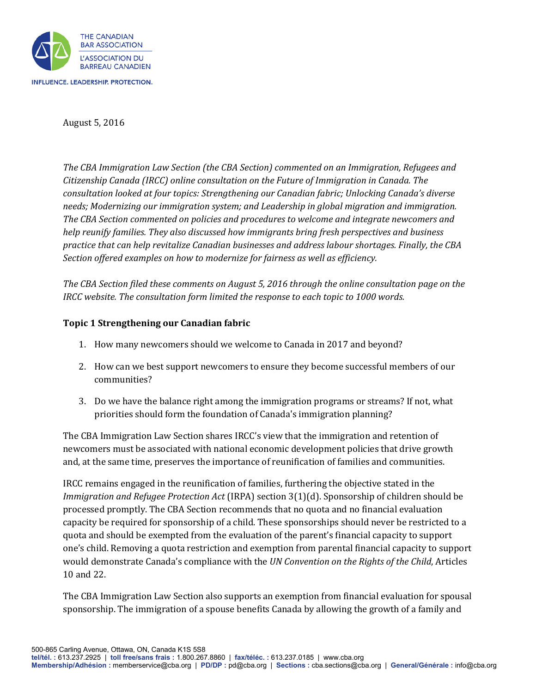

August 5, 2016

*The CBA Immigration Law Section (the CBA Section) commented on an Immigration, Refugees and Citizenship Canada (IRCC) online consultation on the Future of Immigration in Canada. The consultation looked at four topics: Strengthening our Canadian fabric; Unlocking Canada's diverse needs; Modernizing our immigration system; and Leadership in global migration and immigration. The CBA Section commented on policies and procedures to welcome and integrate newcomers and help reunify families. They also discussed how immigrants bring fresh perspectives and business practice that can help revitalize Canadian businesses and address labour shortages. Finally, the CBA Section offered examples on how to modernize for fairness as well as efficiency.*

*The CBA Section filed these comments on August 5, 2016 through the online consultation page on the IRCC website. The consultation form limited the response to each topic to 1000 words.*

## **Topic 1 Strengthening our Canadian fabric**

- 1. How many newcomers should we welcome to Canada in 2017 and beyond?
- 2. How can we best support newcomers to ensure they become successful members of our communities?
- 3. Do we have the balance right among the immigration programs or streams? If not, what priorities should form the foundation of Canada's immigration planning?

The CBA Immigration Law Section shares IRCC's view that the immigration and retention of newcomers must be associated with national economic development policies that drive growth and, at the same time, preserves the importance of reunification of families and communities.

IRCC remains engaged in the reunification of families, furthering the objective stated in the *Immigration and Refugee Protection Act* (IRPA) section 3(1)(d). Sponsorship of children should be processed promptly. The CBA Section recommends that no quota and no financial evaluation capacity be required for sponsorship of a child. These sponsorships should never be restricted to a quota and should be exempted from the evaluation of the parent's financial capacity to support one's child. Removing a quota restriction and exemption from parental financial capacity to support would demonstrate Canada's compliance with the *UN Convention on the Rights of the Child*, Articles 10 and 22.

The CBA Immigration Law Section also supports an exemption from financial evaluation for spousal sponsorship. The immigration of a spouse benefits Canada by allowing the growth of a family and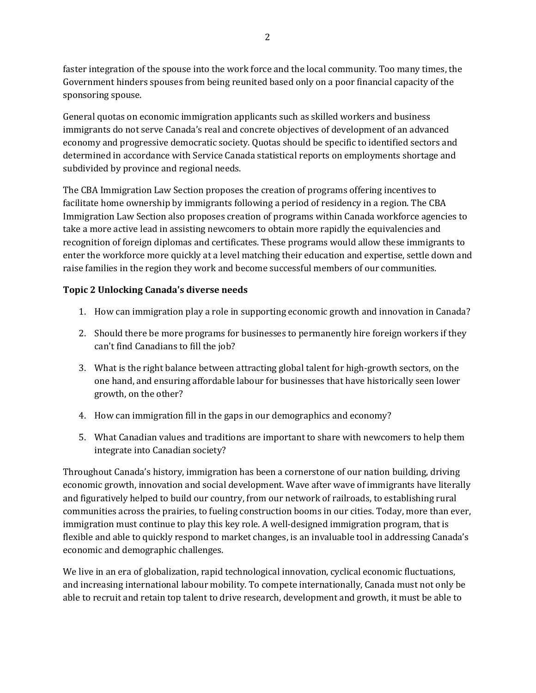faster integration of the spouse into the work force and the local community. Too many times, the Government hinders spouses from being reunited based only on a poor financial capacity of the sponsoring spouse.

General quotas on economic immigration applicants such as skilled workers and business immigrants do not serve Canada's real and concrete objectives of development of an advanced economy and progressive democratic society. Quotas should be specific to identified sectors and determined in accordance with Service Canada statistical reports on employments shortage and subdivided by province and regional needs.

The CBA Immigration Law Section proposes the creation of programs offering incentives to facilitate home ownership by immigrants following a period of residency in a region. The CBA Immigration Law Section also proposes creation of programs within Canada workforce agencies to take a more active lead in assisting newcomers to obtain more rapidly the equivalencies and recognition of foreign diplomas and certificates. These programs would allow these immigrants to enter the workforce more quickly at a level matching their education and expertise, settle down and raise families in the region they work and become successful members of our communities.

## **Topic 2 Unlocking Canada's diverse needs**

- 1. How can immigration play a role in supporting economic growth and innovation in Canada?
- 2. Should there be more programs for businesses to permanently hire foreign workers if they can't find Canadians to fill the job?
- 3. What is the right balance between attracting global talent for high-growth sectors, on the one hand, and ensuring affordable labour for businesses that have historically seen lower growth, on the other?
- 4. How can immigration fill in the gaps in our demographics and economy?
- 5. What Canadian values and traditions are important to share with newcomers to help them integrate into Canadian society?

Throughout Canada's history, immigration has been a cornerstone of our nation building, driving economic growth, innovation and social development. Wave after wave of immigrants have literally and figuratively helped to build our country, from our network of railroads, to establishing rural communities across the prairies, to fueling construction booms in our cities. Today, more than ever, immigration must continue to play this key role. A well-designed immigration program, that is flexible and able to quickly respond to market changes, is an invaluable tool in addressing Canada's economic and demographic challenges.

We live in an era of globalization, rapid technological innovation, cyclical economic fluctuations, and increasing international labour mobility. To compete internationally, Canada must not only be able to recruit and retain top talent to drive research, development and growth, it must be able to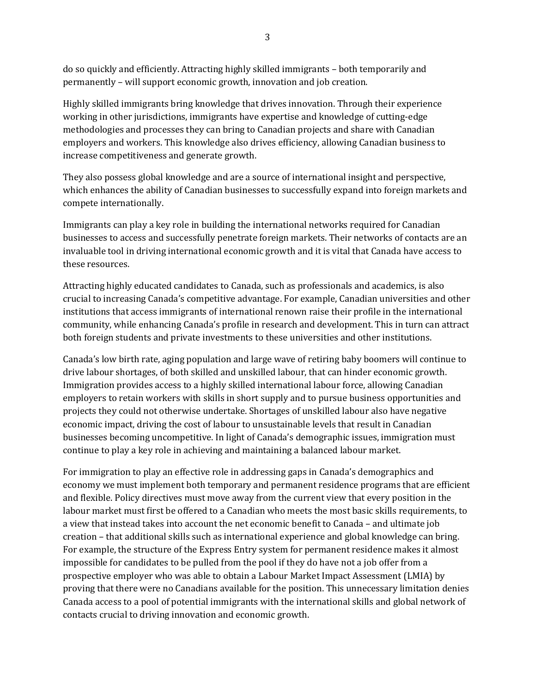do so quickly and efficiently. Attracting highly skilled immigrants – both temporarily and permanently – will support economic growth, innovation and job creation.

Highly skilled immigrants bring knowledge that drives innovation. Through their experience working in other jurisdictions, immigrants have expertise and knowledge of cutting-edge methodologies and processes they can bring to Canadian projects and share with Canadian employers and workers. This knowledge also drives efficiency, allowing Canadian business to increase competitiveness and generate growth.

They also possess global knowledge and are a source of international insight and perspective, which enhances the ability of Canadian businesses to successfully expand into foreign markets and compete internationally.

Immigrants can play a key role in building the international networks required for Canadian businesses to access and successfully penetrate foreign markets. Their networks of contacts are an invaluable tool in driving international economic growth and it is vital that Canada have access to these resources.

Attracting highly educated candidates to Canada, such as professionals and academics, is also crucial to increasing Canada's competitive advantage. For example, Canadian universities and other institutions that access immigrants of international renown raise their profile in the international community, while enhancing Canada's profile in research and development. This in turn can attract both foreign students and private investments to these universities and other institutions.

Canada's low birth rate, aging population and large wave of retiring baby boomers will continue to drive labour shortages, of both skilled and unskilled labour, that can hinder economic growth. Immigration provides access to a highly skilled international labour force, allowing Canadian employers to retain workers with skills in short supply and to pursue business opportunities and projects they could not otherwise undertake. Shortages of unskilled labour also have negative economic impact, driving the cost of labour to unsustainable levels that result in Canadian businesses becoming uncompetitive. In light of Canada's demographic issues, immigration must continue to play a key role in achieving and maintaining a balanced labour market.

For immigration to play an effective role in addressing gaps in Canada's demographics and economy we must implement both temporary and permanent residence programs that are efficient and flexible. Policy directives must move away from the current view that every position in the labour market must first be offered to a Canadian who meets the most basic skills requirements, to a view that instead takes into account the net economic benefit to Canada – and ultimate job creation – that additional skills such as international experience and global knowledge can bring. For example, the structure of the Express Entry system for permanent residence makes it almost impossible for candidates to be pulled from the pool if they do have not a job offer from a prospective employer who was able to obtain a Labour Market Impact Assessment (LMIA) by proving that there were no Canadians available for the position. This unnecessary limitation denies Canada access to a pool of potential immigrants with the international skills and global network of contacts crucial to driving innovation and economic growth.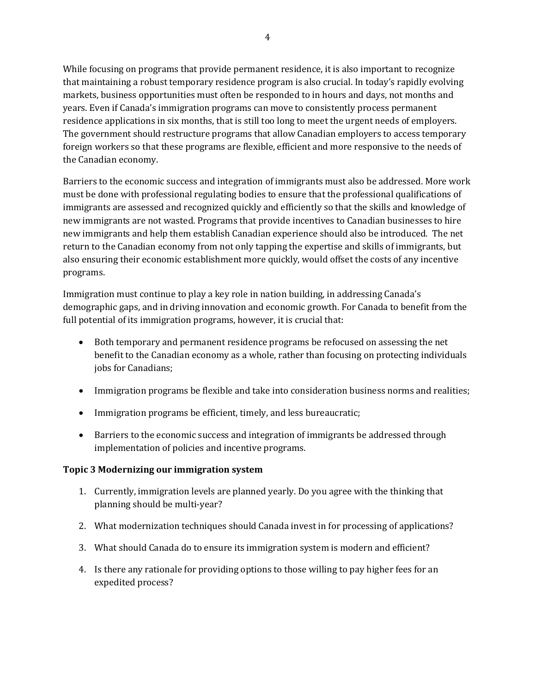While focusing on programs that provide permanent residence, it is also important to recognize that maintaining a robust temporary residence program is also crucial. In today's rapidly evolving markets, business opportunities must often be responded to in hours and days, not months and years. Even if Canada's immigration programs can move to consistently process permanent residence applications in six months, that is still too long to meet the urgent needs of employers. The government should restructure programs that allow Canadian employers to access temporary foreign workers so that these programs are flexible, efficient and more responsive to the needs of the Canadian economy.

Barriers to the economic success and integration of immigrants must also be addressed. More work must be done with professional regulating bodies to ensure that the professional qualifications of immigrants are assessed and recognized quickly and efficiently so that the skills and knowledge of new immigrants are not wasted. Programs that provide incentives to Canadian businesses to hire new immigrants and help them establish Canadian experience should also be introduced. The net return to the Canadian economy from not only tapping the expertise and skills of immigrants, but also ensuring their economic establishment more quickly, would offset the costs of any incentive programs.

Immigration must continue to play a key role in nation building, in addressing Canada's demographic gaps, and in driving innovation and economic growth. For Canada to benefit from the full potential of its immigration programs, however, it is crucial that:

- Both temporary and permanent residence programs be refocused on assessing the net benefit to the Canadian economy as a whole, rather than focusing on protecting individuals jobs for Canadians;
- Immigration programs be flexible and take into consideration business norms and realities;
- Immigration programs be efficient, timely, and less bureaucratic;
- Barriers to the economic success and integration of immigrants be addressed through implementation of policies and incentive programs.

## **Topic 3 Modernizing our immigration system**

- 1. Currently, immigration levels are planned yearly. Do you agree with the thinking that planning should be multi-year?
- 2. What modernization techniques should Canada invest in for processing of applications?
- 3. What should Canada do to ensure its immigration system is modern and efficient?
- 4. Is there any rationale for providing options to those willing to pay higher fees for an expedited process?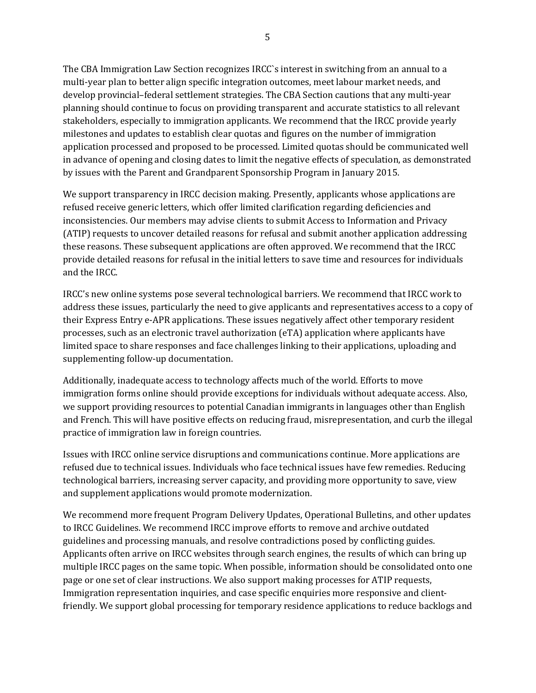The CBA Immigration Law Section recognizes IRCC`s interest in switching from an annual to a multi-year plan to better align specific integration outcomes, meet labour market needs, and develop provincial–federal settlement strategies. The CBA Section cautions that any multi-year planning should continue to focus on providing transparent and accurate statistics to all relevant stakeholders, especially to immigration applicants. We recommend that the IRCC provide yearly milestones and updates to establish clear quotas and figures on the number of immigration application processed and proposed to be processed. Limited quotas should be communicated well in advance of opening and closing dates to limit the negative effects of speculation, as demonstrated by issues with the Parent and Grandparent Sponsorship Program in January 2015.

We support transparency in IRCC decision making. Presently, applicants whose applications are refused receive generic letters, which offer limited clarification regarding deficiencies and inconsistencies. Our members may advise clients to submit Access to Information and Privacy (ATIP) requests to uncover detailed reasons for refusal and submit another application addressing these reasons. These subsequent applications are often approved. We recommend that the IRCC provide detailed reasons for refusal in the initial letters to save time and resources for individuals and the IRCC.

IRCC's new online systems pose several technological barriers. We recommend that IRCC work to address these issues, particularly the need to give applicants and representatives access to a copy of their Express Entry e-APR applications. These issues negatively affect other temporary resident processes, such as an electronic travel authorization (eTA) application where applicants have limited space to share responses and face challenges linking to their applications, uploading and supplementing follow-up documentation.

Additionally, inadequate access to technology affects much of the world. Efforts to move immigration forms online should provide exceptions for individuals without adequate access. Also, we support providing resources to potential Canadian immigrants in languages other than English and French. This will have positive effects on reducing fraud, misrepresentation, and curb the illegal practice of immigration law in foreign countries.

Issues with IRCC online service disruptions and communications continue. More applications are refused due to technical issues. Individuals who face technical issues have few remedies. Reducing technological barriers, increasing server capacity, and providing more opportunity to save, view and supplement applications would promote modernization.

We recommend more frequent Program Delivery Updates, Operational Bulletins, and other updates to IRCC Guidelines. We recommend IRCC improve efforts to remove and archive outdated guidelines and processing manuals, and resolve contradictions posed by conflicting guides. Applicants often arrive on IRCC websites through search engines, the results of which can bring up multiple IRCC pages on the same topic. When possible, information should be consolidated onto one page or one set of clear instructions. We also support making processes for ATIP requests, Immigration representation inquiries, and case specific enquiries more responsive and clientfriendly. We support global processing for temporary residence applications to reduce backlogs and